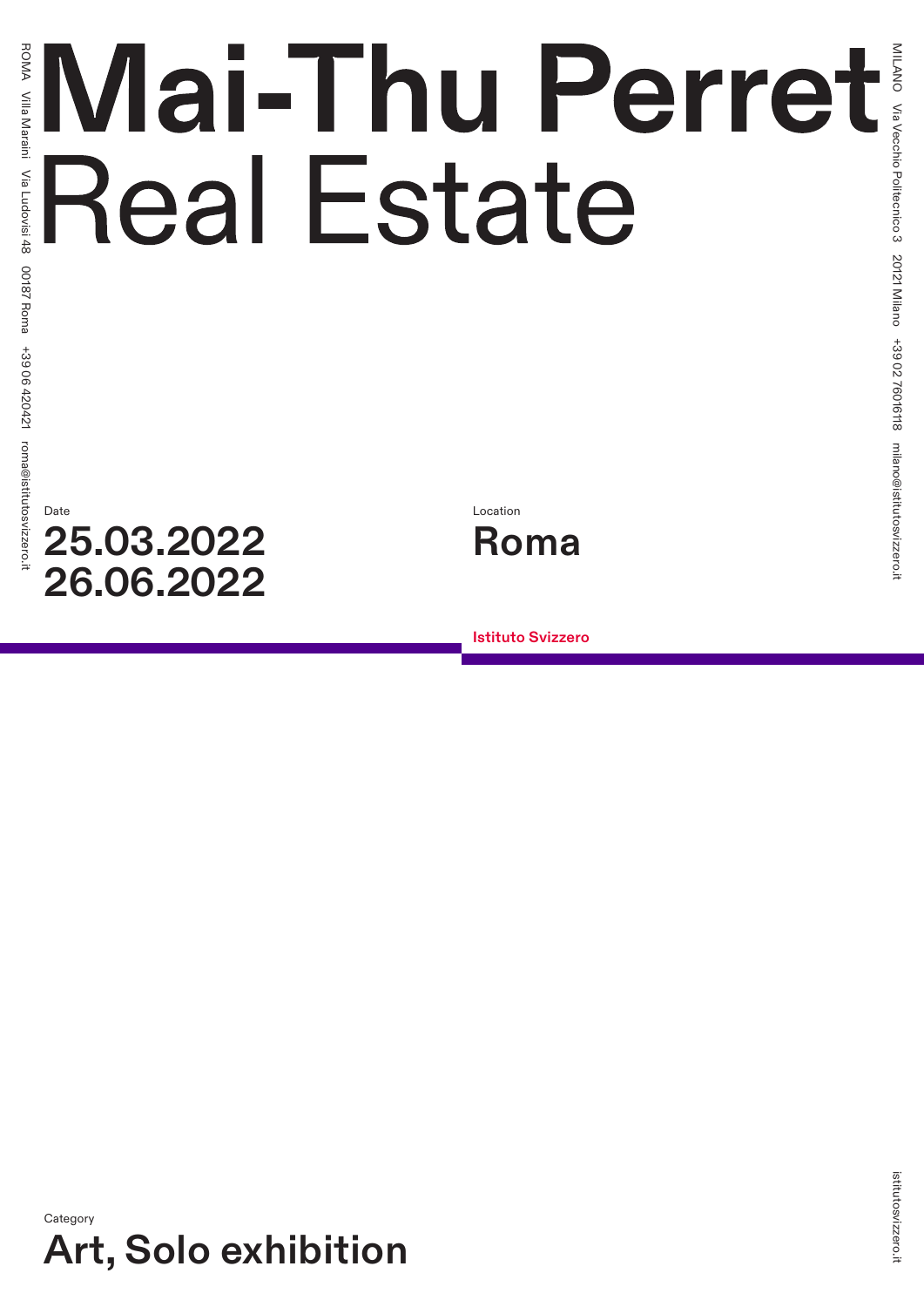# Mai-Thu Perret **Real Estate**

# Date **25.03.2022 26.06.2022**



**Istituto Svizzero**

**Category Art, Solo exhibition**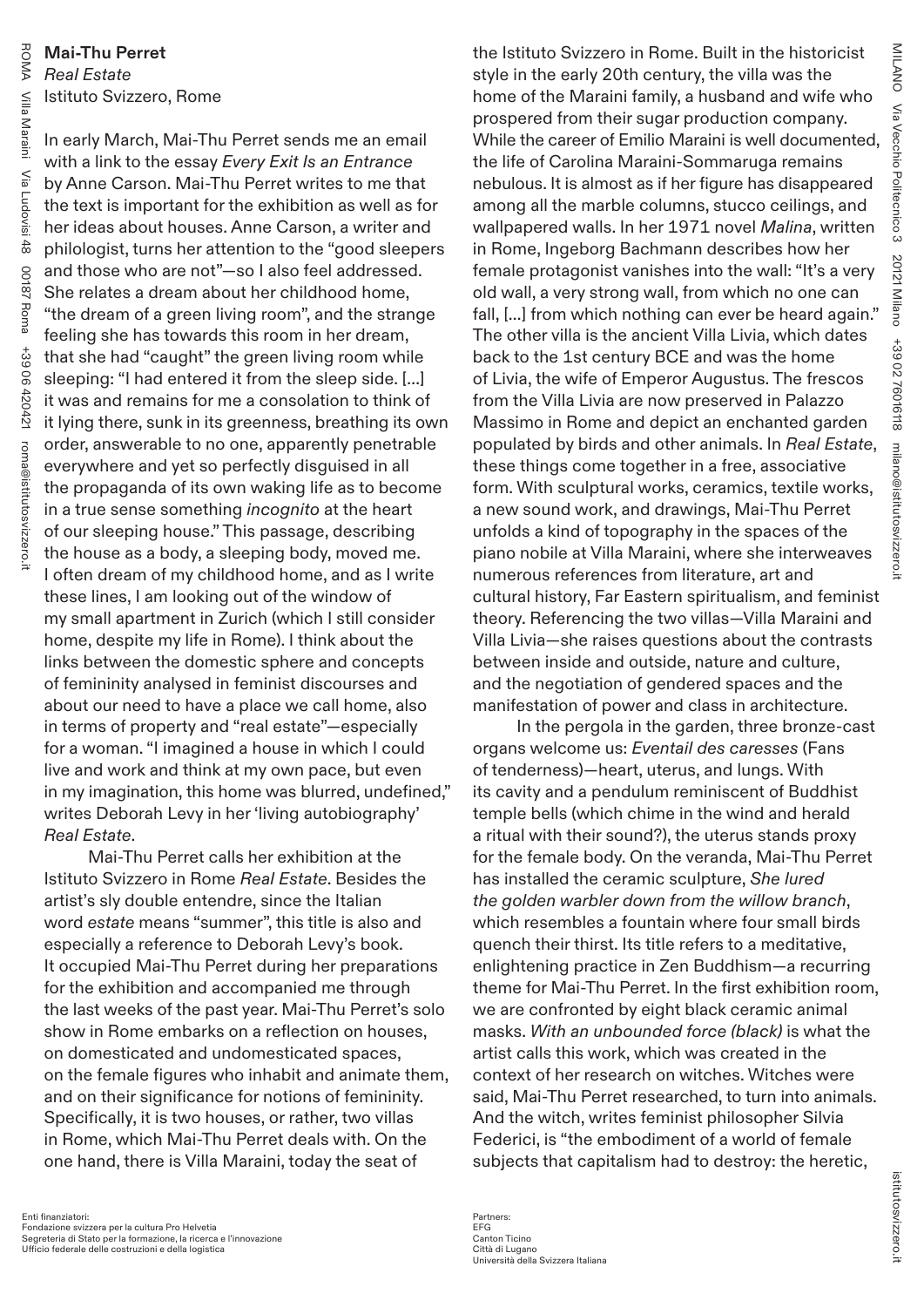# **Mai-Thu Perret** *Real Estate* Istituto Svizzero, Rome

In early March, Mai-Thu Perret sends me an email with a link to the essay *Every Exit Is an Entrance* by Anne Carson. Mai-Thu Perret writes to me that the text is important for the exhibition as well as for her ideas about houses. Anne Carson, a writer and philologist, turns her attention to the "good sleepers and those who are not"—so I also feel addressed. She relates a dream about her childhood home, "the dream of a green living room", and the strange feeling she has towards this room in her dream, that she had "caught" the green living room while sleeping: "I had entered it from the sleep side. [...] it was and remains for me a consolation to think of it lying there, sunk in its greenness, breathing its own order, answerable to no one, apparently penetrable everywhere and yet so perfectly disguised in all the propaganda of its own waking life as to become in a true sense something *incognito* at the heart of our sleeping house." This passage, describing the house as a body, a sleeping body, moved me. I often dream of my childhood home, and as I write these lines, I am looking out of the window of my small apartment in Zurich (which I still consider home, despite my life in Rome). I think about the links between the domestic sphere and concepts of femininity analysed in feminist discourses and about our need to have a place we call home, also in terms of property and "real estate"—especially for a woman. "I imagined a house in which I could live and work and think at my own pace, but even in my imagination, this home was blurred, undefined," writes Deborah Levy in her 'living autobiography' *Real Estate*.

Mai-Thu Perret calls her exhibition at the Istituto Svizzero in Rome *Real Estate*. Besides the artist's sly double entendre, since the Italian word *estate* means "summer", this title is also and especially a reference to Deborah Levy's book. It occupied Mai-Thu Perret during her preparations for the exhibition and accompanied me through the last weeks of the past year. Mai-Thu Perret's solo show in Rome embarks on a reflection on houses, on domesticated and undomesticated spaces, on the female figures who inhabit and animate them, and on their significance for notions of femininity. Specifically, it is two houses, or rather, two villas in Rome, which Mai-Thu Perret deals with. On the one hand, there is Villa Maraini, today the seat of

the Istituto Svizzero in Rome. Built in the historicist style in the early 20th century, the villa was the home of the Maraini family, a husband and wife who prospered from their sugar production company. While the career of Emilio Maraini is well documented, the life of Carolina Maraini-Sommaruga remains nebulous. It is almost as if her figure has disappeared among all the marble columns, stucco ceilings, and wallpapered walls. In her 1971 novel *Malina*, written in Rome, Ingeborg Bachmann describes how her female protagonist vanishes into the wall: "It's a very old wall, a very strong wall, from which no one can fall, [...] from which nothing can ever be heard again." The other villa is the ancient Villa Livia, which dates back to the 1st century BCE and was the home of Livia, the wife of Emperor Augustus. The frescos from the Villa Livia are now preserved in Palazzo Massimo in Rome and depict an enchanted garden populated by birds and other animals. In *Real Estate*, these things come together in a free, associative form. With sculptural works, ceramics, textile works, a new sound work, and drawings, Mai-Thu Perret unfolds a kind of topography in the spaces of the piano nobile at Villa Maraini, where she interweaves numerous references from literature, art and cultural history, Far Eastern spiritualism, and feminist theory. Referencing the two villas—Villa Maraini and Villa Livia—she raises questions about the contrasts between inside and outside, nature and culture, and the negotiation of gendered spaces and the manifestation of power and class in architecture.

In the pergola in the garden, three bronze-cast organs welcome us: *Eventail des caresses* (Fans of tenderness)—heart, uterus, and lungs. With its cavity and a pendulum reminiscent of Buddhist temple bells (which chime in the wind and herald a ritual with their sound?), the uterus stands proxy for the female body. On the veranda, Mai-Thu Perret has installed the ceramic sculpture, *She lured the golden warbler down from the willow branch*, which resembles a fountain where four small birds quench their thirst. Its title refers to a meditative, enlightening practice in Zen Buddhism—a recurring theme for Mai-Thu Perret. In the first exhibition room, we are confronted by eight black ceramic animal masks. *With an unbounded force (black)* is what the artist calls this work, which was created in the context of her research on witches. Witches were said, Mai-Thu Perret researched, to turn into animals. And the witch, writes feminist philosopher Silvia Federici, is "the embodiment of a world of female subjects that capitalism had to destroy: the heretic,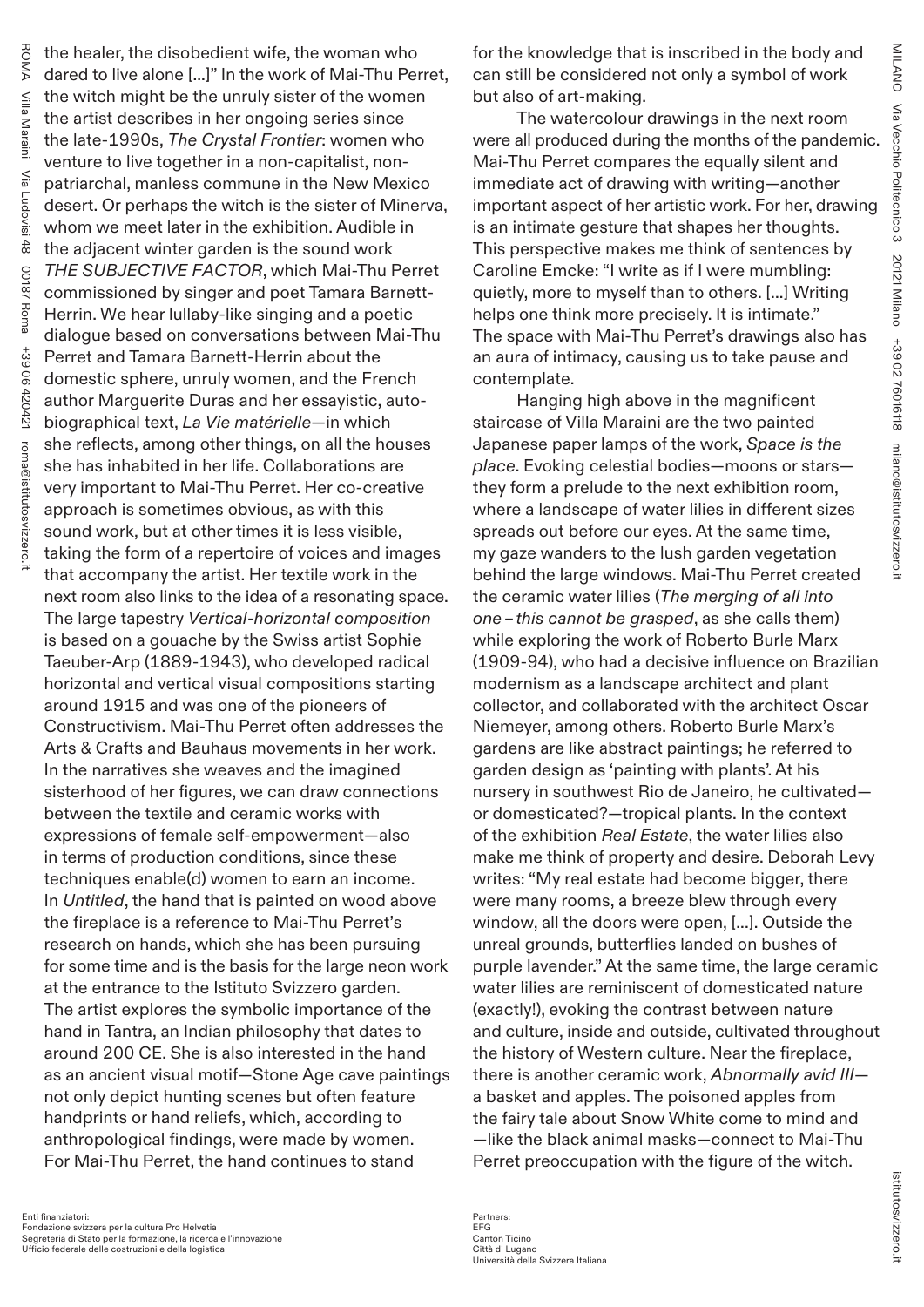ROMA the healer, the disobedient wife, the woman who dared to live alone [...]" In the work of Mai-Thu Perret, Nilla the witch might be the unruly sister of the women Villa Maraini the artist describes in her ongoing series since Maraini the late-1990s, *The Crystal Frontier*: women who venture to live together in a non-capitalist, non-Μã Via Ludovisi 48 patriarchal, manless commune in the New Mexico Ludovisi desert. Or perhaps the witch is the sister of Minerva, whom we meet later in the exhibition. Audible in  $\frac{48}{6}$ the adjacent winter garden is the sound work *THE SUBJECTIVE FACTOR*, which Mai-Thu Perret  $00$ 00187 Roma  $\overline{8}$ commissioned by singer and poet Tamara Barnett-7 Roma Herrin. We hear lullaby-like singing and a poetic dialogue based on conversations between Mai-Thu  $+39$ +39 06 420421 Perret and Tamara Barnett-Herrin about the 06420421 domestic sphere, unruly women, and the French author Marguerite Duras and her essayistic, autobiographical text, *La Vie matérielle*—in which she reflects, among other things, on all the houses roma@istitutosvizzero.i roma@istitutosvizzero.it she has inhabited in her life. Collaborations are very important to Mai-Thu Perret. Her co-creative approach is sometimes obvious, as with this sound work, but at other times it is less visible, taking the form of a repertoire of voices and images that accompany the artist. Her textile work in the next room also links to the idea of a resonating space. The large tapestry *Vertical-horizontal composition* is based on a gouache by the Swiss artist Sophie Taeuber-Arp (1889-1943), who developed radical horizontal and vertical visual compositions starting around 1915 and was one of the pioneers of Constructivism. Mai-Thu Perret often addresses the Arts & Crafts and Bauhaus movements in her work. In the narratives she weaves and the imagined sisterhood of her figures, we can draw connections between the textile and ceramic works with expressions of female self-empowerment—also in terms of production conditions, since these techniques enable(d) women to earn an income. In *Untitled*, the hand that is painted on wood above the fireplace is a reference to Mai-Thu Perret's research on hands, which she has been pursuing for some time and is the basis for the large neon work at the entrance to the Istituto Svizzero garden. The artist explores the symbolic importance of the hand in Tantra, an Indian philosophy that dates to around 200 CE. She is also interested in the hand as an ancient visual motif—Stone Age cave paintings not only depict hunting scenes but often feature handprints or hand reliefs, which, according to anthropological findings, were made by women. For Mai-Thu Perret, the hand continues to stand

The watercolour drawings in the next room were all produced during the months of the pandemic. Mai-Thu Perret compares the equally silent and immediate act of drawing with writing—another important aspect of her artistic work. For her, drawing is an intimate gesture that shapes her thoughts. This perspective makes me think of sentences by Caroline Emcke: "I write as if I were mumbling: quietly, more to myself than to others. [...] Writing helps one think more precisely. It is intimate." The space with Mai-Thu Perret's drawings also has an aura of intimacy, causing us to take pause and contemplate.

Hanging high above in the magnificent staircase of Villa Maraini are the two painted Japanese paper lamps of the work, *Space is the place*. Evoking celestial bodies—moons or stars they form a prelude to the next exhibition room, where a landscape of water lilies in different sizes spreads out before our eyes. At the same time, my gaze wanders to the lush garden vegetation behind the large windows. Mai-Thu Perret created the ceramic water lilies (*The merging of all into one–this cannot be grasped*, as she calls them) while exploring the work of Roberto Burle Marx (1909-94), who had a decisive influence on Brazilian modernism as a landscape architect and plant collector, and collaborated with the architect Oscar Niemeyer, among others. Roberto Burle Marx's gardens are like abstract paintings; he referred to garden design as 'painting with plants'. At his nursery in southwest Rio de Janeiro, he cultivated or domesticated?—tropical plants. In the context of the exhibition *Real Estate*, the water lilies also make me think of property and desire. Deborah Levy writes: "My real estate had become bigger, there were many rooms, a breeze blew through every window, all the doors were open, [...]. Outside the unreal grounds, butterflies landed on bushes of purple lavender." At the same time, the large ceramic water lilies are reminiscent of domesticated nature (exactly!), evoking the contrast between nature and culture, inside and outside, cultivated throughout the history of Western culture. Near the fireplace, there is another ceramic work, *Abnormally avid III* a basket and apples. The poisoned apples from the fairy tale about Snow White come to mind and —like the black animal masks—connect to Mai-Thu Perret preoccupation with the figure of the witch.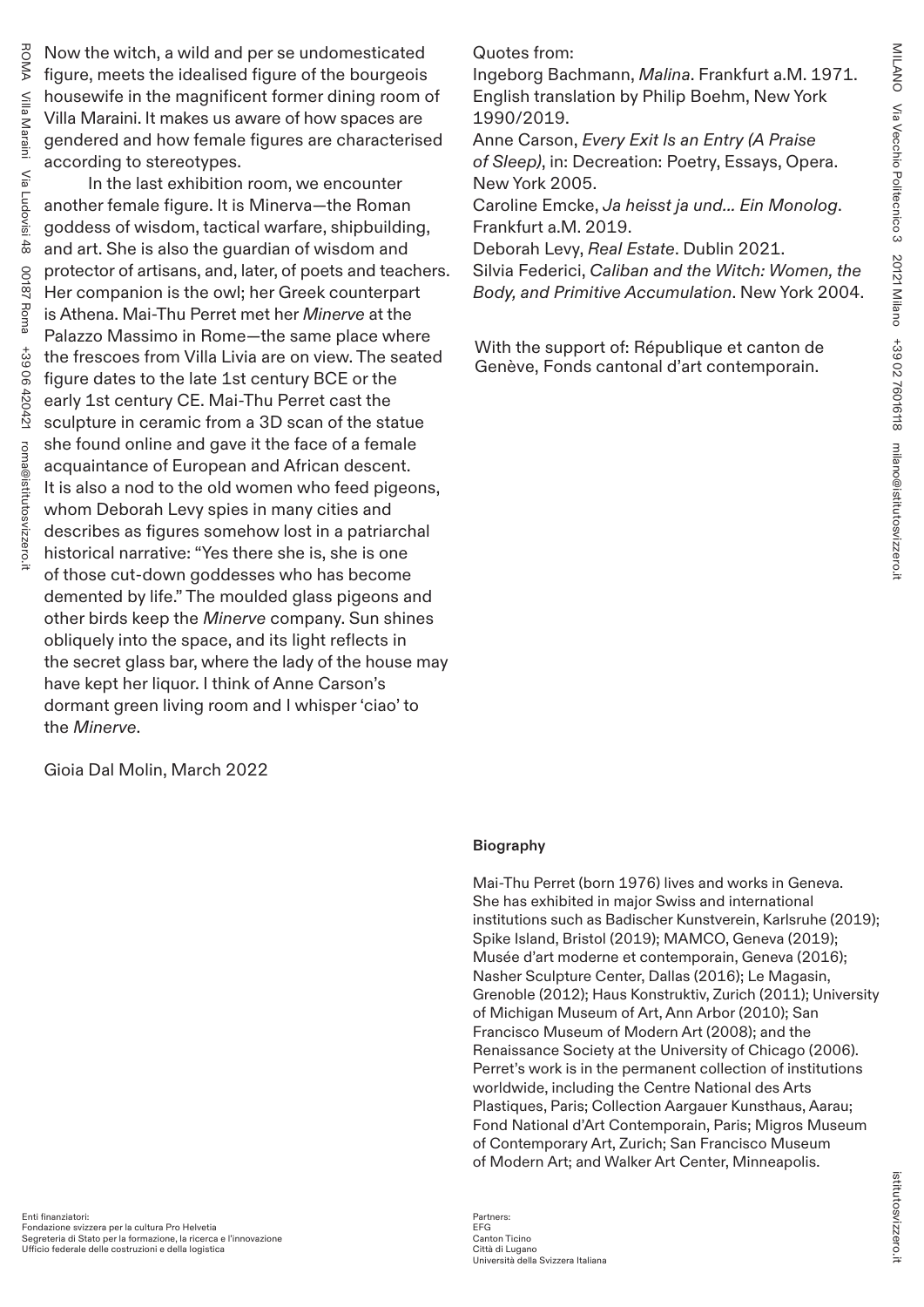Now the witch, a wild and per se undomesticated figure, meets the idealised figure of the bourgeois housewife in the magnificent former dining room of Villa Maraini. It makes us aware of how spaces are gendered and how female figures are characterised according to stereotypes.

ROMA

Villa Maraini

Villa Maraini

Via Ludovisi 48

Ludovisi

 $\frac{48}{3}$ 

Μã

00187 Roma

7 Roma

28100

+39 06 420421

06420421

 $+39$ 

roma@istitutosvizzero.it

roma@istitutosvizzero.i

In the last exhibition room, we encounter another female figure. It is Minerva—the Roman goddess of wisdom, tactical warfare, shipbuilding, and art. She is also the guardian of wisdom and protector of artisans, and, later, of poets and teachers. Her companion is the owl; her Greek counterpart is Athena. Mai-Thu Perret met her *Minerve* at the Palazzo Massimo in Rome—the same place where the frescoes from Villa Livia are on view. The seated figure dates to the late 1st century BCE or the early 1st century CE. Mai-Thu Perret cast the sculpture in ceramic from a 3D scan of the statue she found online and gave it the face of a female acquaintance of European and African descent. It is also a nod to the old women who feed pigeons, whom Deborah Levy spies in many cities and describes as figures somehow lost in a patriarchal historical narrative: "Yes there she is, she is one of those cut-down goddesses who has become demented by life." The moulded glass pigeons and other birds keep the *Minerve* company. Sun shines obliquely into the space, and its light reflects in the secret glass bar, where the lady of the house may have kept her liquor. I think of Anne Carson's dormant green living room and I whisper 'ciao' to the *Minerve*.

Gioia Dal Molin, March 2022

Quotes from:

Ingeborg Bachmann, *Malina*. Frankfurt a.M. 1971. English translation by Philip Boehm, New York 1990/2019.

Anne Carson, *Every Exit Is an Entry (A Praise of Sleep)*, in: Decreation: Poetry, Essays, Opera. New York 2005.

Caroline Emcke, *Ja heisst ja und... Ein Monolog*. Frankfurt a.M. 2019.

Deborah Levy, *Real Estate*. Dublin 2021.

Silvia Federici, *Caliban and the Witch: Women, the Body, and Primitive Accumulation*. New York 2004.

With the support of: République et canton de Genève, Fonds cantonal d'art contemporain.

## **Biography**

Mai-Thu Perret (born 1976) lives and works in Geneva. She has exhibited in major Swiss and international institutions such as Badischer Kunstverein, Karlsruhe (2019); Spike Island, Bristol (2019); MAMCO, Geneva (2019); Musée d'art moderne et contemporain, Geneva (2016); Nasher Sculpture Center, Dallas (2016); Le Magasin, Grenoble (2012); Haus Konstruktiv, Zurich (2011); University of Michigan Museum of Art, Ann Arbor (2010); San Francisco Museum of Modern Art (2008); and the Renaissance Society at the University of Chicago (2006). Perret's work is in the permanent collection of institutions worldwide, including the Centre National des Arts Plastiques, Paris; Collection Aargauer Kunsthaus, Aarau; Fond National d'Art Contemporain, Paris; Migros Museum of Contemporary Art, Zurich; San Francisco Museum of Modern Art; and Walker Art Center, Minneapolis.

### Partners: EFG Canton Ticino Città di Lugano Università della Svizzera Italiana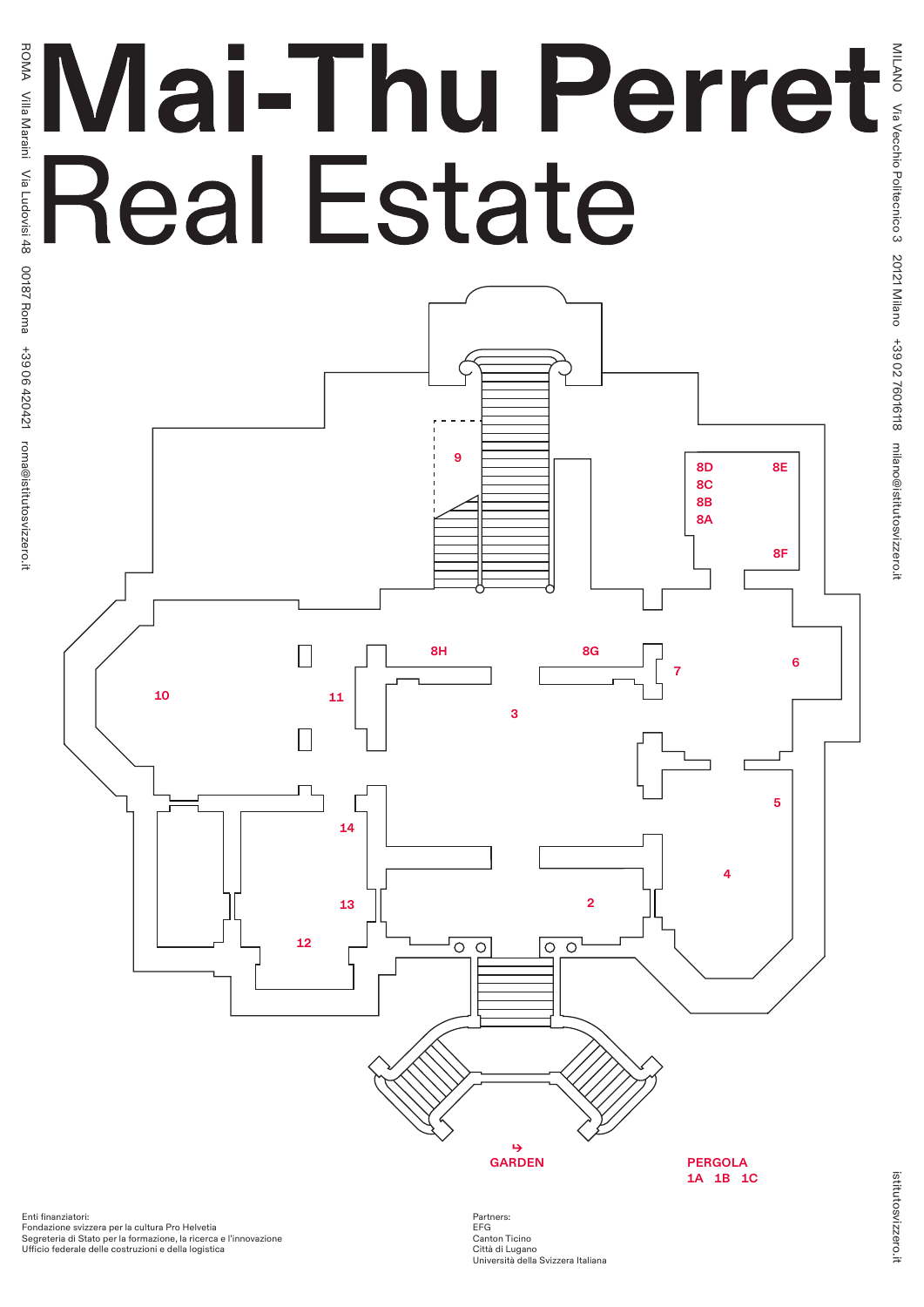# **Real Estate**



Enti finanziatori: Fondazione svizzera per la cultura Pro Helvetia Segreteria di Stato per la formazione, la ricerca e l'innovazione Ufficio federale delle costruzioni e della logistica

Partners: EFG Canton Ticino Città di Lugano Università della Svizzera Italiana